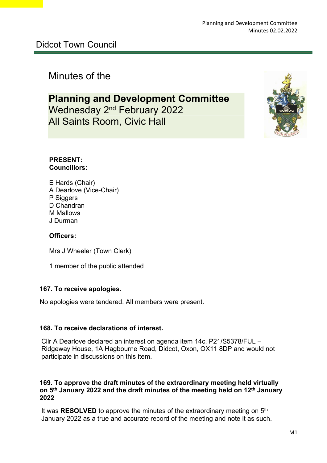# Minutes of the

# **Planning and Development Committee** Wednesday 2<sup>nd</sup> February 2022 All Saints Room, Civic Hall



#### **PRESENT: Councillors:**

E Hards (Chair) A Dearlove (Vice-Chair) P Siggers D Chandran M Mallows J Durman

#### **Officers:**

Mrs J Wheeler (Town Clerk)

1 member of the public attended

#### **167. To receive apologies.**

No apologies were tendered. All members were present.

#### **168. To receive declarations of interest.**

Cllr A Dearlove declared an interest on agenda item 14c. P21/S5378/FUL – Ridgeway House, 1A Hagbourne Road, Didcot, Oxon, OX11 8DP and would not participate in discussions on this item.

#### **169. To approve the draft minutes of the extraordinary meeting held virtually on 5th January 2022 and the draft minutes of the meeting held on 12th January 2022**

 It was **RESOLVED** to approve the minutes of the extraordinary meeting on 5th January 2022 as a true and accurate record of the meeting and note it as such.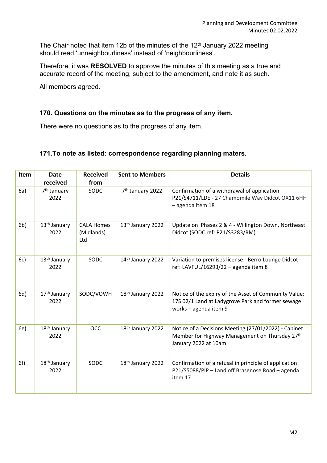The Chair noted that item 12b of the minutes of the 12<sup>th</sup> January 2022 meeting should read 'unneighbourliness' instead of 'neighbourliness'.

Therefore, it was **RESOLVED** to approve the minutes of this meeting as a true and accurate record of the meeting, subject to the amendment, and note it as such.

All members agreed.

#### **170. Questions on the minutes as to the progress of any item.**

There were no questions as to the progress of any item.

#### **171.To note as listed: correspondence regarding planning maters.**

| Item           | <b>Date</b><br>received          | <b>Received</b><br>from                | <b>Sent to Members</b>        | <b>Details</b>                                                                                                                      |
|----------------|----------------------------------|----------------------------------------|-------------------------------|-------------------------------------------------------------------------------------------------------------------------------------|
| 6a)            | 7 <sup>th</sup> January<br>2022  | SODC                                   | 7 <sup>th</sup> January 2022  | Confirmation of a withdrawal of application<br>P21/S4711/LDE - 27 Chamomile Way Didcot OX11 6HH<br>- agenda item 18                 |
| 6 <sub>b</sub> | 13 <sup>th</sup> January<br>2022 | <b>CALA Homes</b><br>(Midlands)<br>Ltd | 13 <sup>th</sup> January 2022 | Update on Phases 2 & 4 - Willington Down, Northeast<br>Didcot (SODC ref: P21/S3283/RM)                                              |
| 6c)            | 13 <sup>th</sup> January<br>2022 | SODC                                   | 14th January 2022             | Variation to premises license - Berro Lounge Didcot -<br>ref: LAVFUL/16293/22 - agenda item 8                                       |
| 6d)            | 17 <sup>th</sup> January<br>2022 | SODC/VOWH                              | 18th January 2022             | Notice of the expiry of the Asset of Community Value:<br>17S 02/1 Land at Ladygrove Park and former sewage<br>works - agenda item 9 |
| 6e)            | 18 <sup>th</sup> January<br>2022 | <b>OCC</b>                             | 18th January 2022             | Notice of a Decisions Meeting (27/01/2022) - Cabinet<br>Member for Highway Management on Thursday 27th<br>January 2022 at 10am      |
| 6f)            | 18 <sup>th</sup> January<br>2022 | SODC                                   | 18th January 2022             | Confirmation of a refusal in principle of application<br>P21/S5088/PIP - Land off Brasenose Road - agenda<br>item 17                |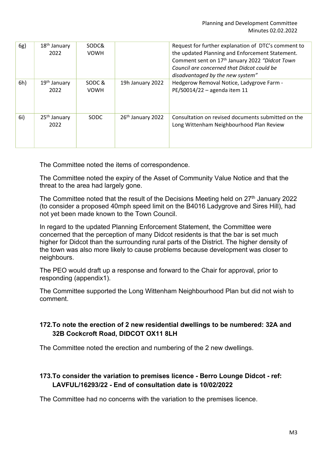| 6g) | $18th$ January<br>2022           | SODC&<br><b>VOWH</b>  |                               | Request for further explanation of DTC's comment to<br>the updated Planning and Enforcement Statement.<br>Comment sent on 17 <sup>th</sup> January 2022 "Didcot Town<br>Council are concerned that Didcot could be<br>disadvantaged by the new system" |
|-----|----------------------------------|-----------------------|-------------------------------|--------------------------------------------------------------------------------------------------------------------------------------------------------------------------------------------------------------------------------------------------------|
| 6h) | $19th$ January<br>2022           | SODC &<br><b>VOWH</b> | 19h January 2022              | Hedgerow Removal Notice, Ladygrove Farm -<br>PE/S0014/22 - agenda item 11                                                                                                                                                                              |
| 6i) | 25 <sup>th</sup> January<br>2022 | SODC                  | 26 <sup>th</sup> January 2022 | Consultation on revised documents submitted on the<br>Long Wittenham Neighbourhood Plan Review                                                                                                                                                         |

The Committee noted the items of correspondence.

The Committee noted the expiry of the Asset of Community Value Notice and that the threat to the area had largely gone.

The Committee noted that the result of the Decisions Meeting held on  $27<sup>th</sup>$  January 2022 (to consider a proposed 40mph speed limit on the B4016 Ladygrove and Sires Hill), had not yet been made known to the Town Council.

In regard to the updated Planning Enforcement Statement, the Committee were concerned that the perception of many Didcot residents is that the bar is set much higher for Didcot than the surrounding rural parts of the District. The higher density of the town was also more likely to cause problems because development was closer to neighbours.

The PEO would draft up a response and forward to the Chair for approval, prior to responding (appendix1).

The Committee supported the Long Wittenham Neighbourhood Plan but did not wish to comment.

## **172.To note the erection of 2 new residential dwellings to be numbered: 32A and 32B Cockcroft Road, DIDCOT OX11 8LH**

The Committee noted the erection and numbering of the 2 new dwellings.

## **173.To consider the variation to premises licence - Berro Lounge Didcot - ref: LAVFUL/16293/22 - End of consultation date is 10/02/2022**

The Committee had no concerns with the variation to the premises licence.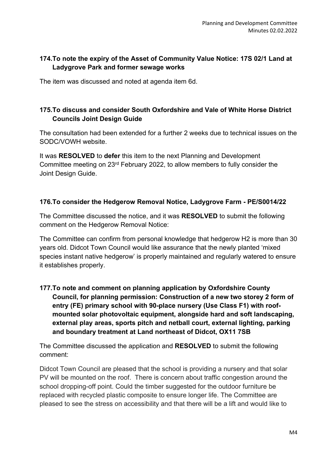## **174.To note the expiry of the Asset of Community Value Notice: 17S 02/1 Land at Ladygrove Park and former sewage works**

The item was discussed and noted at agenda item 6d.

## **175.To discuss and consider South Oxfordshire and Vale of White Horse District Councils Joint Design Guide**

The consultation had been extended for a further 2 weeks due to technical issues on the SODC/VOWH website.

It was **RESOLVED** to **defer** this item to the next Planning and Development Committee meeting on 23rd February 2022, to allow members to fully consider the Joint Design Guide.

## **176.To consider the Hedgerow Removal Notice, Ladygrove Farm - PE/S0014/22**

The Committee discussed the notice, and it was **RESOLVED** to submit the following comment on the Hedgerow Removal Notice:

The Committee can confirm from personal knowledge that hedgerow H2 is more than 30 years old. Didcot Town Council would like assurance that the newly planted 'mixed species instant native hedgerow' is properly maintained and regularly watered to ensure it establishes properly.

**177.To note and comment on planning application by Oxfordshire County Council, for planning permission: Construction of a new two storey 2 form of entry (FE) primary school with 90-place nursery (Use Class F1) with roofmounted solar photovoltaic equipment, alongside hard and soft landscaping, external play areas, sports pitch and netball court, external lighting, parking and boundary treatment at Land northeast of Didcot, OX11 7SB** 

The Committee discussed the application and **RESOLVED** to submit the following comment:

Didcot Town Council are pleased that the school is providing a nursery and that solar PV will be mounted on the roof. There is concern about traffic congestion around the school dropping-off point. Could the timber suggested for the outdoor furniture be replaced with recycled plastic composite to ensure longer life. The Committee are pleased to see the stress on accessibility and that there will be a lift and would like to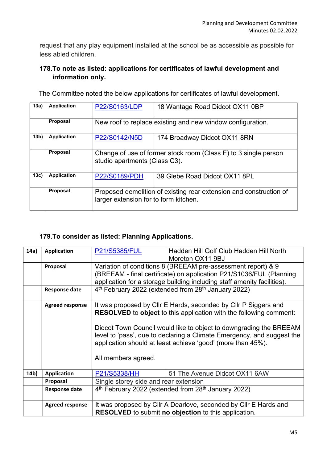request that any play equipment installed at the school be as accessible as possible for less abled children.

## **178.To note as listed: applications for certificates of lawful development and information only.**

The Committee noted the below applications for certificates of lawful development.

| 13a)            | <b>Application</b> | P22/S0163/LDP                                                                                               | 18 Wantage Road Didcot OX11 0BP                            |
|-----------------|--------------------|-------------------------------------------------------------------------------------------------------------|------------------------------------------------------------|
|                 | Proposal           |                                                                                                             | New roof to replace existing and new window configuration. |
| 13 <sub>b</sub> | <b>Application</b> | P22/S0142/N5D                                                                                               | 174 Broadway Didcot OX11 8RN                               |
|                 | Proposal           | Change of use of former stock room (Class E) to 3 single person<br>studio apartments (Class C3).            |                                                            |
| 13c)            | <b>Application</b> | <b>P22/S0189/PDH</b>                                                                                        | 39 Glebe Road Didcot OX11 8PL                              |
|                 | Proposal           | Proposed demolition of existing rear extension and construction of<br>larger extension for to form kitchen. |                                                            |

## **179.To consider as listed: Planning Applications.**

| 14a) | <b>Application</b>     | P21/S5385/FUL                                                                                                                                                                                                                                                                                                                                                                      | Hadden Hill Golf Club Hadden Hill North<br>Moreton OX11 9BJ |  |
|------|------------------------|------------------------------------------------------------------------------------------------------------------------------------------------------------------------------------------------------------------------------------------------------------------------------------------------------------------------------------------------------------------------------------|-------------------------------------------------------------|--|
|      | Proposal               | Variation of conditions 8 (BREEAM pre-assessment report) & 9<br>(BREEAM - final certificate) on application P21/S1036/FUL (Planning<br>application for a storage building including staff amenity facilities).                                                                                                                                                                     |                                                             |  |
|      | <b>Response date</b>   | 4 <sup>th</sup> February 2022 (extended from 28 <sup>th</sup> January 2022)                                                                                                                                                                                                                                                                                                        |                                                             |  |
|      | <b>Agreed response</b> | It was proposed by CIIr E Hards, seconded by CIIr P Siggers and<br><b>RESOLVED</b> to object to this application with the following comment:<br>Didcot Town Council would like to object to downgrading the BREEAM<br>level to 'pass', due to declaring a Climate Emergency, and suggest the<br>application should at least achieve 'good' (more than 45%).<br>All members agreed. |                                                             |  |
| 14b) | <b>Application</b>     | P21/S5338/HH                                                                                                                                                                                                                                                                                                                                                                       | 51 The Avenue Didcot OX11 6AW                               |  |
|      | Proposal               | Single storey side and rear extension                                                                                                                                                                                                                                                                                                                                              |                                                             |  |
|      | <b>Response date</b>   | 4 <sup>th</sup> February 2022 (extended from 28 <sup>th</sup> January 2022)                                                                                                                                                                                                                                                                                                        |                                                             |  |
|      | <b>Agreed response</b> | It was proposed by CIIr A Dearlove, seconded by CIIr E Hards and<br><b>RESOLVED</b> to submit no objection to this application.                                                                                                                                                                                                                                                    |                                                             |  |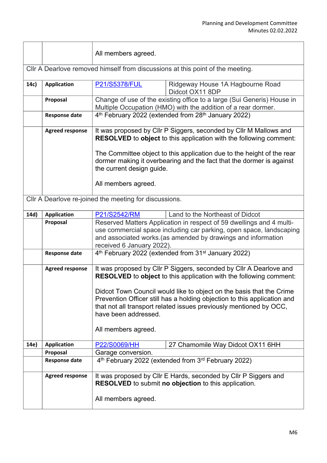|      |                                                                                | All members agreed.                                                                                                                                                                                                                                                                                                                                                                                               |  |  |
|------|--------------------------------------------------------------------------------|-------------------------------------------------------------------------------------------------------------------------------------------------------------------------------------------------------------------------------------------------------------------------------------------------------------------------------------------------------------------------------------------------------------------|--|--|
|      | CIIr A Dearlove removed himself from discussions at this point of the meeting. |                                                                                                                                                                                                                                                                                                                                                                                                                   |  |  |
| 14c) | <b>Application</b>                                                             | <b>P21/S5378/FUL</b><br>Ridgeway House 1A Hagbourne Road<br>Didcot OX11 8DP                                                                                                                                                                                                                                                                                                                                       |  |  |
|      | Proposal                                                                       | Change of use of the existing office to a large (Sui Generis) House in<br>Multiple Occupation (HMO) with the addition of a rear dormer.                                                                                                                                                                                                                                                                           |  |  |
|      | <b>Response date</b>                                                           | 4 <sup>th</sup> February 2022 (extended from 28 <sup>th</sup> January 2022)                                                                                                                                                                                                                                                                                                                                       |  |  |
|      | <b>Agreed response</b>                                                         | It was proposed by Cllr P Siggers, seconded by Cllr M Mallows and<br>RESOLVED to object to this application with the following comment:<br>The Committee object to this application due to the height of the rear<br>dormer making it overbearing and the fact that the dormer is against<br>the current design guide.                                                                                            |  |  |
|      |                                                                                | All members agreed.                                                                                                                                                                                                                                                                                                                                                                                               |  |  |
|      |                                                                                | Cllr A Dearlove re-joined the meeting for discussions.                                                                                                                                                                                                                                                                                                                                                            |  |  |
| 14d) | <b>Application</b>                                                             | Land to the Northeast of Didcot<br>P21/S2542/RM                                                                                                                                                                                                                                                                                                                                                                   |  |  |
|      | Proposal                                                                       | Reserved Matters Application in respect of 59 dwellings and 4 multi-<br>use commercial space including car parking, open space, landscaping<br>and associated works.(as amended by drawings and information<br>received 6 January 2022).                                                                                                                                                                          |  |  |
|      | <b>Response date</b>                                                           | 4 <sup>th</sup> February 2022 (extended from 31 <sup>st</sup> January 2022)                                                                                                                                                                                                                                                                                                                                       |  |  |
|      | <b>Agreed response</b>                                                         | It was proposed by Cllr P Siggers, seconded by Cllr A Dearlove and<br>RESOLVED to object to this application with the following comment:<br>Didcot Town Council would like to object on the basis that the Crime<br>Prevention Officer still has a holding objection to this application and<br>that not all transport related issues previously mentioned by OCC,<br>have been addressed.<br>All members agreed. |  |  |
| 14e) | <b>Application</b>                                                             | 27 Chamomile Way Didcot OX11 6HH<br>P22/S0069/HH                                                                                                                                                                                                                                                                                                                                                                  |  |  |
|      | Proposal                                                                       | Garage conversion.                                                                                                                                                                                                                                                                                                                                                                                                |  |  |
|      | <b>Response date</b>                                                           | 4 <sup>th</sup> February 2022 (extended from 3 <sup>rd</sup> February 2022)                                                                                                                                                                                                                                                                                                                                       |  |  |
|      | <b>Agreed response</b>                                                         | It was proposed by CIIr E Hards, seconded by CIIr P Siggers and<br><b>RESOLVED</b> to submit no objection to this application.<br>All members agreed.                                                                                                                                                                                                                                                             |  |  |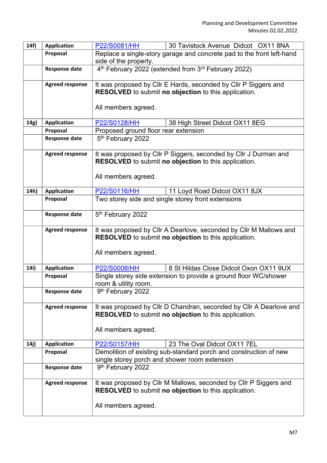| 14f) | <b>Application</b>     | P22/S0081/HH<br>30 Tavistock Avenue Didcot OX11 8NA                                                                             |  |  |
|------|------------------------|---------------------------------------------------------------------------------------------------------------------------------|--|--|
|      | Proposal               | Replace a single-story garage and concrete pad to the front left-hand                                                           |  |  |
|      |                        | side of the property.                                                                                                           |  |  |
|      | <b>Response date</b>   | 4 <sup>th</sup> February 2022 (extended from 3 <sup>rd</sup> February 2022)                                                     |  |  |
|      | <b>Agreed response</b> | It was proposed by Cllr E Hards, seconded by Cllr P Siggers and                                                                 |  |  |
|      |                        | <b>RESOLVED</b> to submit no objection to this application.                                                                     |  |  |
|      |                        |                                                                                                                                 |  |  |
|      |                        | All members agreed.                                                                                                             |  |  |
| 14g) | <b>Application</b>     | P22/S0128/HH<br>38 High Street Didcot OX11 8EG                                                                                  |  |  |
|      | Proposal               | Proposed ground floor rear extension                                                                                            |  |  |
|      | <b>Response date</b>   | 5 <sup>th</sup> February 2022                                                                                                   |  |  |
|      | <b>Agreed response</b> | It was proposed by Cllr P Siggers, seconded by Cllr J Durman and<br><b>RESOLVED</b> to submit no objection to this application. |  |  |
|      |                        | All members agreed.                                                                                                             |  |  |
| 14h) | <b>Application</b>     | P22/S0116/HH<br>11 Loyd Road Didcot OX11 8JX                                                                                    |  |  |
|      | Proposal               | Two storey side and single storey front extensions                                                                              |  |  |
|      | <b>Response date</b>   | 5th February 2022                                                                                                               |  |  |
|      | <b>Agreed response</b> | It was proposed by Cllr A Dearlove, seconded by Cllr M Mallows and<br>RESOLVED to submit no objection to this application.      |  |  |
|      |                        | All members agreed.                                                                                                             |  |  |
| 14i) | <b>Application</b>     | P22/S0008/HH<br>8 St Hildas Close Didcot Oxon OX11 9UX                                                                          |  |  |
|      | Proposal               | Single storey side extension to provide a ground floor WC/shower                                                                |  |  |
|      |                        | room & utility room.                                                                                                            |  |  |
|      | <b>Response date</b>   | 9 <sup>th</sup> February 2022                                                                                                   |  |  |
|      | <b>Agreed response</b> | It was proposed by Cllr D Chandran, seconded by Cllr A Dearlove and<br>RESOLVED to submit no objection to this application.     |  |  |
|      |                        | All members agreed.                                                                                                             |  |  |
| 14j) | <b>Application</b>     | P22/S0157/HH<br>23 The Oval Didcot OX11 7EL                                                                                     |  |  |
|      | Proposal               | Demolition of existing sub-standard porch and construction of new                                                               |  |  |
|      |                        | single storey porch and shower room extension                                                                                   |  |  |
|      | <b>Response date</b>   | 9th February 2022                                                                                                               |  |  |
|      | <b>Agreed response</b> | It was proposed by Cllr M Mallows, seconded by Cllr P Siggers and<br>RESOLVED to submit no objection to this application.       |  |  |
|      |                        | All members agreed.                                                                                                             |  |  |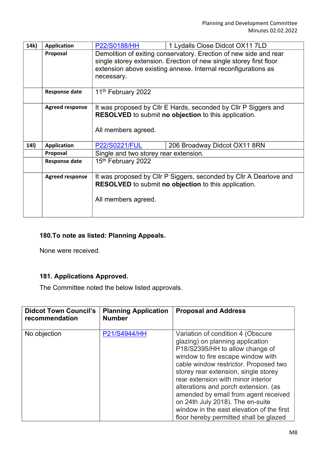| 14k) | <b>Application</b>     | P22/S0188/HH                                                       | 1 Lydalls Close Didcot OX11 7LD |  |
|------|------------------------|--------------------------------------------------------------------|---------------------------------|--|
|      | Proposal               | Demolition of exiting conservatory. Erection of new side and rear  |                                 |  |
|      |                        | single storey extension. Erection of new single storey first floor |                                 |  |
|      |                        | extension above existing annexe. Internal reconfigurations as      |                                 |  |
|      |                        | necessary.                                                         |                                 |  |
|      |                        |                                                                    |                                 |  |
|      | <b>Response date</b>   | 11 <sup>th</sup> February 2022                                     |                                 |  |
|      |                        |                                                                    |                                 |  |
|      | <b>Agreed response</b> | It was proposed by CIIr E Hards, seconded by CIIr P Siggers and    |                                 |  |
|      |                        | <b>RESOLVED</b> to submit no objection to this application.        |                                 |  |
|      |                        | All members agreed.                                                |                                 |  |
|      |                        |                                                                    |                                 |  |
| 14I) | <b>Application</b>     | <b>P22/S0221/FUL</b>                                               | 206 Broadway Didcot OX11 8RN    |  |
|      | Proposal               | Single and two storey rear extension.                              |                                 |  |
|      | <b>Response date</b>   | 15th February 2022                                                 |                                 |  |
|      |                        |                                                                    |                                 |  |
|      | <b>Agreed response</b> | It was proposed by Cllr P Siggers, seconded by Cllr A Dearlove and |                                 |  |
|      |                        | RESOLVED to submit no objection to this application.               |                                 |  |
|      |                        |                                                                    |                                 |  |
|      |                        | All members agreed.                                                |                                 |  |
|      |                        |                                                                    |                                 |  |
|      |                        |                                                                    |                                 |  |

## **180.To note as listed: Planning Appeals.**

None were received.

# **181. Applications Approved.**

The Committee noted the below listed approvals.

| <b>Didcot Town Council's</b><br>recommendation | <b>Planning Application</b><br><b>Number</b> | <b>Proposal and Address</b>                                                                                                                                                                                                                                                                                                                                                                                                                                                     |
|------------------------------------------------|----------------------------------------------|---------------------------------------------------------------------------------------------------------------------------------------------------------------------------------------------------------------------------------------------------------------------------------------------------------------------------------------------------------------------------------------------------------------------------------------------------------------------------------|
| No objection                                   | P21/S4944/HH                                 | Variation of condition 4 (Obscure<br>glazing) on planning application<br>P18/S2395/HH to allow change of<br>window to fire escape window with<br>cable window restrictor. Proposed two<br>storey rear extension, single storey<br>rear extension with minor interior<br>alterations and porch extension. (as<br>amended by email from agent received<br>on 24th July 2018). The en-suite<br>window in the east elevation of the first<br>floor hereby permitted shall be glazed |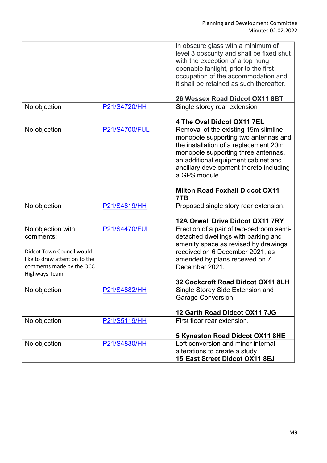|                                                                                                                                            |                      | in obscure glass with a minimum of<br>level 3 obscurity and shall be fixed shut<br>with the exception of a top hung<br>openable fanlight, prior to the first<br>occupation of the accommodation and<br>it shall be retained as such thereafter.                 |
|--------------------------------------------------------------------------------------------------------------------------------------------|----------------------|-----------------------------------------------------------------------------------------------------------------------------------------------------------------------------------------------------------------------------------------------------------------|
|                                                                                                                                            |                      | 26 Wessex Road Didcot OX11 8BT                                                                                                                                                                                                                                  |
| No objection                                                                                                                               | P21/S4720/HH         | Single storey rear extension                                                                                                                                                                                                                                    |
|                                                                                                                                            |                      | 4 The Oval Didcot OX11 7EL                                                                                                                                                                                                                                      |
| No objection                                                                                                                               | <b>P21/S4700/FUL</b> | Removal of the existing 15m slimline<br>monopole supporting two antennas and<br>the installation of a replacement 20m<br>monopole supporting three antennas,<br>an additional equipment cabinet and<br>ancillary development thereto including<br>a GPS module. |
|                                                                                                                                            |                      | <b>Milton Road Foxhall Didcot OX11</b><br>7TB                                                                                                                                                                                                                   |
| No objection                                                                                                                               | P21/S4819/HH         | Proposed single story rear extension.                                                                                                                                                                                                                           |
|                                                                                                                                            |                      | 12A Orwell Drive Didcot OX11 7RY                                                                                                                                                                                                                                |
| No objection with<br>comments:<br>Didcot Town Council would<br>like to draw attention to the<br>comments made by the OCC<br>Highways Team. | <b>P21/S4470/FUL</b> | Erection of a pair of two-bedroom semi-<br>detached dwellings with parking and<br>amenity space as revised by drawings<br>received on 6 December 2021, as<br>amended by plans received on 7<br>December 2021.                                                   |
|                                                                                                                                            |                      | 32 Cockcroft Road Didcot OX11 8LH                                                                                                                                                                                                                               |
| No objection                                                                                                                               | P21/S4882/HH         | Single Storey Side Extension and<br>Garage Conversion.<br>12 Garth Road Didcot OX11 7JG                                                                                                                                                                         |
| No objection                                                                                                                               | P21/S5119/HH         | First floor rear extension.                                                                                                                                                                                                                                     |
|                                                                                                                                            |                      | 5 Kynaston Road Didcot OX11 8HE                                                                                                                                                                                                                                 |
| No objection                                                                                                                               | P21/S4830/HH         | Loft conversion and minor internal<br>alterations to create a study<br>15 East Street Didcot OX11 8EJ                                                                                                                                                           |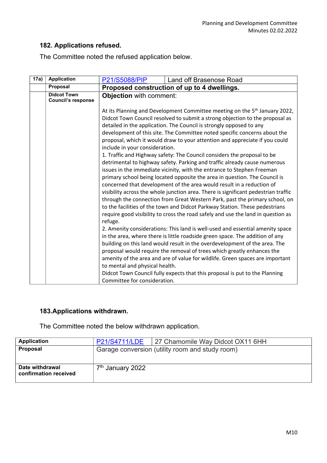### **182. Applications refused.**

The Committee noted the refused application below.

| 17a) | Application                                     | P21/S5088/PIP                                                                                                                                                                                                                                                                                                                                                                                                                                                                                                           | Land off Brasenose Road                                                                                                                                                                                                                                                                                                                                                                                                                                                                                                                                                                                                                                                                                                                                                                                                                                                                                                                                                                                                                                                                                                                    |  |
|------|-------------------------------------------------|-------------------------------------------------------------------------------------------------------------------------------------------------------------------------------------------------------------------------------------------------------------------------------------------------------------------------------------------------------------------------------------------------------------------------------------------------------------------------------------------------------------------------|--------------------------------------------------------------------------------------------------------------------------------------------------------------------------------------------------------------------------------------------------------------------------------------------------------------------------------------------------------------------------------------------------------------------------------------------------------------------------------------------------------------------------------------------------------------------------------------------------------------------------------------------------------------------------------------------------------------------------------------------------------------------------------------------------------------------------------------------------------------------------------------------------------------------------------------------------------------------------------------------------------------------------------------------------------------------------------------------------------------------------------------------|--|
|      | Proposal                                        | Proposed construction of up to 4 dwellings.                                                                                                                                                                                                                                                                                                                                                                                                                                                                             |                                                                                                                                                                                                                                                                                                                                                                                                                                                                                                                                                                                                                                                                                                                                                                                                                                                                                                                                                                                                                                                                                                                                            |  |
|      | <b>Didcot Town</b><br><b>Council's response</b> | Objection with comment:                                                                                                                                                                                                                                                                                                                                                                                                                                                                                                 |                                                                                                                                                                                                                                                                                                                                                                                                                                                                                                                                                                                                                                                                                                                                                                                                                                                                                                                                                                                                                                                                                                                                            |  |
|      |                                                 | include in your consideration.<br>refuge.                                                                                                                                                                                                                                                                                                                                                                                                                                                                               | At its Planning and Development Committee meeting on the 5 <sup>th</sup> January 2022,<br>Didcot Town Council resolved to submit a strong objection to the proposal as<br>detailed in the application. The Council is strongly opposed to any<br>development of this site. The Committee noted specific concerns about the<br>proposal, which it would draw to your attention and appreciate if you could<br>1. Traffic and Highway safety: The Council considers the proposal to be<br>detrimental to highway safety. Parking and traffic already cause numerous<br>issues in the immediate vicinity, with the entrance to Stephen Freeman<br>primary school being located opposite the area in question. The Council is<br>concerned that development of the area would result in a reduction of<br>visibility across the whole junction area. There is significant pedestrian traffic<br>through the connection from Great Western Park, past the primary school, on<br>to the facilities of the town and Didcot Parkway Station. These pedestrians<br>require good visibility to cross the road safely and use the land in question as |  |
|      |                                                 | 2. Amenity considerations: This land is well-used and essential amenity space<br>in the area, where there is little roadside green space. The addition of any<br>building on this land would result in the overdevelopment of the area. The<br>proposal would require the removal of trees which greatly enhances the<br>amenity of the area and are of value for wildlife. Green spaces are important<br>to mental and physical health.<br>Didcot Town Council fully expects that this proposal is put to the Planning |                                                                                                                                                                                                                                                                                                                                                                                                                                                                                                                                                                                                                                                                                                                                                                                                                                                                                                                                                                                                                                                                                                                                            |  |
|      |                                                 | Committee for consideration.                                                                                                                                                                                                                                                                                                                                                                                                                                                                                            |                                                                                                                                                                                                                                                                                                                                                                                                                                                                                                                                                                                                                                                                                                                                                                                                                                                                                                                                                                                                                                                                                                                                            |  |

# **183.Applications withdrawn.**

The Committee noted the below withdrawn application.

| <b>Application</b>                       |                              | P21/S4711/LDE   27 Chamomile Way Didcot OX11 6HH |
|------------------------------------------|------------------------------|--------------------------------------------------|
| Proposal                                 |                              | Garage conversion (utility room and study room)  |
| Date withdrawal<br>confirmation received | 7 <sup>th</sup> January 2022 |                                                  |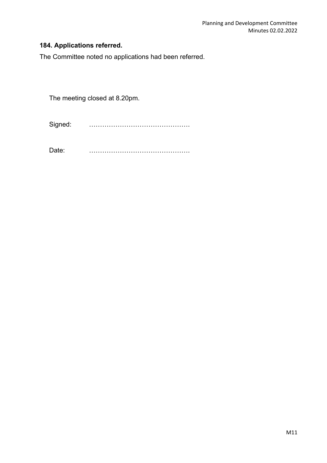### **184. Applications referred.**

The Committee noted no applications had been referred.

The meeting closed at 8.20pm.

Signed: ……………………………………….

Date: ……………………………………….